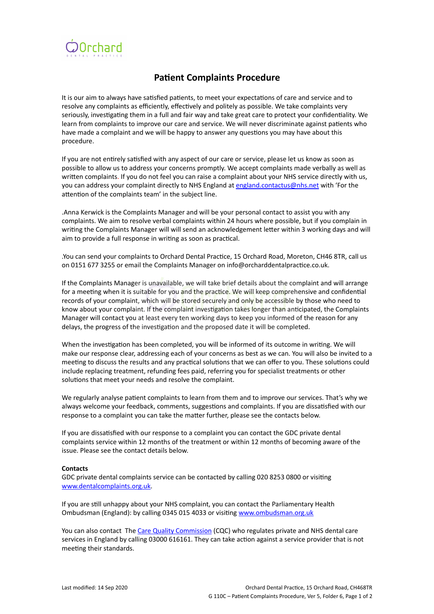

## **Patient Complaints Procedure**

It is our aim to always have satisfied patients, to meet your expectations of care and service and to resolve any complaints as efficiently, effectively and politely as possible. We take complaints very seriously, investigating them in a full and fair way and take great care to protect your confidentiality. We learn from complaints to improve our care and service. We will never discriminate against patients who have made a complaint and we will be happy to answer any questions you may have about this procedure.

If you are not entirely satisfied with any aspect of our care or service, please let us know as soon as possible to allow us to address your concerns promptly. We accept complaints made verbally as well as written complaints. If you do not feel you can raise a complaint about your NHS service directly with us, you can address your complaint directly to NHS England at [england.contactus@nhs.net](mailto:england.contactus@nhs.net) with 'For the attention of the complaints team' in the subject line.

.Anna Kerwick is the Complaints Manager and will be your personal contact to assist you with any complaints. We aim to resolve verbal complaints within 24 hours where possible, but if you complain in writing the Complaints Manager will will send an acknowledgement letter within 3 working days and will aim to provide a full response in writing as soon as practical.

.You can send your complaints to Orchard Dental Practice, 15 Orchard Road, Moreton, CH46 8TR, call us on 0151 677 3255 or email the Complaints Manager on info@orcharddentalpractice.co.uk.

If the Complaints Manager is unavailable, we will take brief details about the complaint and will arrange for a meeting when it is suitable for you and the practice. We will keep comprehensive and confidential records of your complaint, which will be stored securely and only be accessible by those who need to know about your complaint. If the complaint investigation takes longer than anticipated, the Complaints Manager will contact you at least every ten working days to keep you informed of the reason for any delays, the progress of the investigation and the proposed date it will be completed.

When the investigation has been completed, you will be informed of its outcome in writing. We will make our response clear, addressing each of your concerns as best as we can. You will also be invited to a meeting to discuss the results and any practical solutions that we can offer to you. These solutions could include replacing treatment, refunding fees paid, referring you for specialist treatments or other solutions that meet your needs and resolve the complaint.

We regularly analyse patient complaints to learn from them and to improve our services. That's why we always welcome your feedback, comments, suggestions and complaints. If you are dissatisfied with our response to a complaint you can take the matter further, please see the contacts below.

If you are dissatisfied with our response to a complaint you can contact the GDC private dental complaints service within 12 months of the treatment or within 12 months of becoming aware of the issue. Please see the contact details below.

## **Contacts**

GDC private dental complaints service can be contacted by calling 020 8253 0800 or visiting [www.dentalcomplaints.org.uk.](http://www.dentalcomplaints.org.uk)

If you are still unhappy about your NHS complaint, you can contact the Parliamentary Health Ombudsman (England): by calling 0345 015 4033 or visiting [www.ombudsman.org.uk](http://www.ombudsman.org.uk)

You can also contact The [Care Quality Commission](http://www.cqc.org.uk/) (CQC) who regulates private and NHS dental care services in England by calling 03000 616161. They can take action against a service provider that is not meeting their standards.